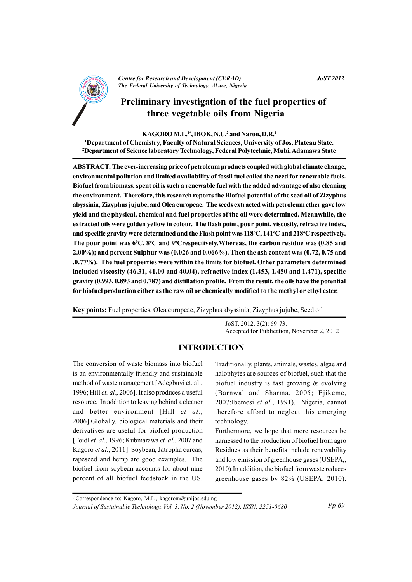

**Centre for Research and Development (CERAD)** The Federal University of Technology, Akure, Nigeria

#### **JoST 2012**

# Preliminary investigation of the fuel properties of three vegetable oils from Nigeria

#### KAGORO M.L.<sup>1\*</sup>, IBOK, N.U.<sup>2</sup> and Naron, D.R.<sup>1</sup>

<sup>1</sup>Department of Chemistry, Faculty of Natural Sciences, University of Jos, Plateau State. <sup>2</sup>Department of Science laboratory Technology, Federal Polytechnic, Mubi, Adamawa State

ABSTRACT: The ever-increasing price of petroleum products coupled with global climate change, environmental pollution and limited availability of fossil fuel called the need for renewable fuels. Biofuel from biomass, spent oil is such a renewable fuel with the added advantage of also cleaning the environment. Therefore, this research reports the Biofuel potential of the seed oil of Zizyphus abyssinia, Zizyphus jujube, and Olea europeae. The seeds extracted with petroleum ether gave low yield and the physical, chemical and fuel properties of the oil were determined. Meanwhile, the extracted oils were golden yellow in colour. The flash point, pour point, viscosity, refractive index, and specific gravity were determined and the Flash point was 118°C, 141°C and 218°C respectively. The pour point was  $6^{\circ}C$ ,  $8^{\circ}C$  and  $9^{\circ}C$  respectively. Whereas, the carbon residue was (0.85 and 2.00%); and percent Sulphur was (0.026 and 0.066%). Then the ash content was (0.72, 0.75 and .0.77%). The fuel properties were within the limits for biofuel. Other parameters determined included viscosity (46.31, 41.00 and 40.04), refractive index (1.453, 1.450 and 1.471), specific gravity (0.993, 0.893 and 0.787) and distillation profile. From the result, the oils have the potential for biofuel production either as the raw oil or chemically modified to the methyl or ethyl ester.

Key points: Fuel properties, Olea europeae, Zizyphus abyssinia, Zizyphus jujube, Seed oil

JoST, 2012, 3(2): 69-73. Accepted for Publication, November 2, 2012

### **INTRODUCTION**

The conversion of waste biomass into biofuel is an environmentally friendly and sustainable method of waste management [Adegbuyi et. al., 1996; Hill et. al., 2006]. It also produces a useful resource. In addition to leaving behind a cleaner and better environment [Hill et al., 2006]. Globally, biological materials and their derivatives are useful for biofuel production [Foidl et. al., 1996; Kubmarawa et. al., 2007 and Kagoro et al., 2011]. Soybean, Jatropha curcas, rapeseed and hemp are good examples. The biofuel from soybean accounts for about nine percent of all biofuel feedstock in the US.

Traditionally, plants, animals, wastes, algae and halophytes are sources of biofuel, such that the biofuel industry is fast growing  $\&$  evolving (Barnwal and Sharma, 2005; Ejikeme, 2007; Ibemesi et al., 1991). Nigeria, cannot therefore afford to neglect this emerging technology.

Furthermore, we hope that more resources be harnessed to the production of biofuel from agro Residues as their benefits include renewability and low emission of greenhouse gases (USEPA, 2010). In addition, the biofuel from waste reduces greenhouse gases by 82% (USEPA, 2010).

<sup>1</sup>\*Correspondence to: Kagoro, M.L., kagorom@unijos.edu.ng

Journal of Sustainable Technology, Vol. 3, No. 2 (November 2012), ISSN: 2251-0680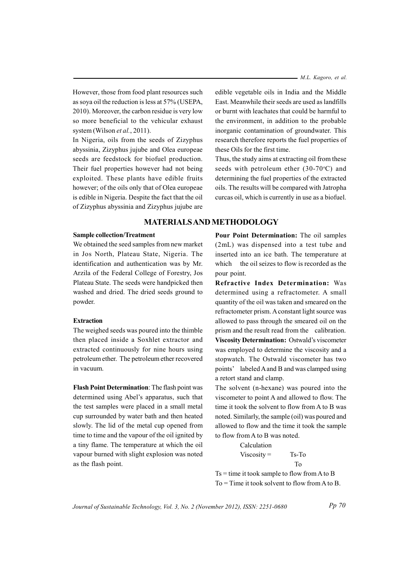- M.L. Kagoro, et al.

However, those from food plant resources such as soya oil the reduction is less at 57% (USEPA, 2010). Moreover, the carbon residue is very low so more beneficial to the vehicular exhaust system (Wilson et al., 2011).

In Nigeria, oils from the seeds of Zizyphus abyssinia, Zizyphus jujube and Olea europeae seeds are feedstock for biofuel production. Their fuel properties however had not being exploited. These plants have edible fruits however; of the oils only that of Olea europeae is edible in Nigeria. Despite the fact that the oil of Zizyphus abyssinia and Zizyphus jujube are

#### **Sample collection/Treatment**

We obtained the seed samples from new market in Jos North, Plateau State, Nigeria. The identification and authentication was by Mr. Arzila of the Federal College of Forestry, Jos Plateau State. The seeds were handpicked then washed and dried. The dried seeds ground to powder.

#### **Extraction**

The weighed seeds was poured into the thimble then placed inside a Soxhlet extractor and extracted continuously for nine hours using petroleum ether. The petroleum ether recovered in vacuum

Flash Point Determination: The flash point was determined using Abel's apparatus, such that the test samples were placed in a small metal cup surrounded by water bath and then heated slowly. The lid of the metal cup opened from time to time and the vapour of the oil ignited by a tiny flame. The temperature at which the oil vapour burned with slight explosion was noted as the flash point.

edible vegetable oils in India and the Middle East. Meanwhile their seeds are used as landfills or burnt with leachates that could be harmful to the environment, in addition to the probable inorganic contamination of groundwater. This research therefore reports the fuel properties of these Oils for the first time.

Thus, the study aims at extracting oil from these seeds with petroleum ether  $(30-70$ °C) and determining the fuel properties of the extracted oils. The results will be compared with Jatropha curcas oil, which is currently in use as a biofuel.

## **MATERIALS AND METHODOLOGY**

Pour Point Determination: The oil samples (2mL) was dispensed into a test tube and inserted into an ice bath. The temperature at which the oil seizes to flow is recorded as the pour point.

Refractive Index Determination: Was determined using a refractometer. A small quantity of the oil was taken and smeared on the refractometer prism. A constant light source was allowed to pass through the smeared oil on the prism and the result read from the calibration. Viscosity Determination: Ostwald's viscometer was employed to determine the viscosity and a stopwatch. The Ostwald viscometer has two points' labeled A and B and was clamped using a retort stand and clamp.

The solvent (n-hexane) was poured into the viscometer to point A and allowed to flow. The time it took the solvent to flow from A to B was noted. Similarly, the sample (oil) was poured and allowed to flow and the time it took the sample to flow from A to B was noted.

> Calculation  $Viscosity =$ Ts-To T<sub>o</sub>

 $Ts = time$  it took sample to flow from A to B  $To = Time$  it took solvent to flow from A to B.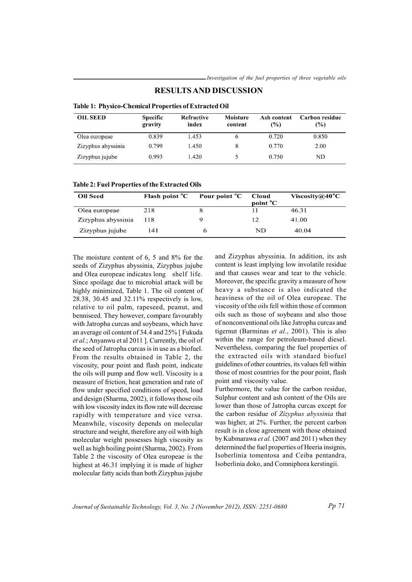| <b>Table 1: Physico-Chemical Properties of Extracted Oil</b> |                            |                            |                     |                    |                       |  |
|--------------------------------------------------------------|----------------------------|----------------------------|---------------------|--------------------|-----------------------|--|
| <b>OIL SEED</b>                                              | <b>Specific</b><br>gravity | <b>Refractive</b><br>index | Moisture<br>content | Ash content<br>(%) | Carbon residue<br>(%) |  |
| Olea europeae                                                | 0.839                      | 1.453                      | 6                   | 0.720              | 0.850                 |  |
| Zizyphus abyssinia                                           | 0.799                      | 1.450                      | 8                   | 0.770              | 2.00                  |  |
| Zizyphus jujube                                              | 0.993                      | .420                       |                     | 0.750              | ND                    |  |

#### **RESULTS AND DISCUSSION**

|  | <b>Table 2: Fuel Properties of the Extracted Oils</b> |  |
|--|-------------------------------------------------------|--|
|  |                                                       |  |

| <b>Oil Seed</b>    | Flash point $^{\circ}C$ | Pour point <sup>o</sup> C | Cloud<br>point <sup>o</sup> C | Viscosity@40 $^{\circ}$ C |
|--------------------|-------------------------|---------------------------|-------------------------------|---------------------------|
| Olea europeae      | 218                     |                           |                               | 46.31                     |
| Zizyphus abyssinia | 118                     |                           |                               | 41.00                     |
| Zizyphus jujube    | 141                     |                           | ND                            | 40.04                     |

The moisture content of  $6, 5$  and  $8\%$  for the seeds of Zizyphus abyssinia, Zizyphus jujube and Olea europeae indicates long shelf life. Since spoilage due to microbial attack will be highly minimized, Table 1. The oil content of 28.38, 30.45 and 32.11% respectively is low, relative to oil palm, rapeseed, peanut, and benniseed. They however, compare favourably with Jatropha curcas and sovbeans, which have an average oil content of 34.4 and 25% [Fukuda et al.; Anyanwu et al 2011 ]. Currently, the oil of the seed of Jatropha curcas is in use as a biofuel. From the results obtained in Table 2, the viscosity, pour point and flash point, indicate the oils will pump and flow well. Viscosity is a measure of friction, heat generation and rate of flow under specified conditions of speed, load and design (Sharma, 2002), it follows those oils with low viscosity index its flow rate will decrease rapidly with temperature and vice versa. Meanwhile, viscosity depends on molecular structure and weight, therefore any oil with high molecular weight possesses high viscosity as well as high boiling point (Sharma, 2002). From Table 2 the viscosity of Olea europeae is the highest at 46.31 implying it is made of higher molecular fatty acids than both Zizyphus jujube and Zizyphus abyssinia. In addition, its ash content is least implying low involatile residue and that causes wear and tear to the vehicle. Moreover, the specific gravity a measure of how heavy a substance is also indicated the heaviness of the oil of Olea europeae. The viscosity of the oils fell within those of common oils such as those of soybeans and also those of nonconventional oils like Jatropha curcas and tigernut (Barminas et al., 2001). This is also within the range for petroleum-based diesel. Nevertheless, comparing the fuel properties of the extracted oils with standard biofuel guidelines of other countries, its values fell within those of most countries for the pour point, flash point and viscosity value.

Furthermore, the value for the carbon residue, Sulphur content and ash content of the Oils are lower than those of Jatropha curcas except for the carbon residue of Zizyphus abyssinia that was higher, at 2%. Further, the percent carbon result is in close agreement with those obtained by Kubmarawa et al. (2007 and 2011) when they determined the fuel properties of Heeria insignis, Isoberlinia tomentosa and Ceiba pentandra, Isoberlinia doko, and Comniphora kerstingii.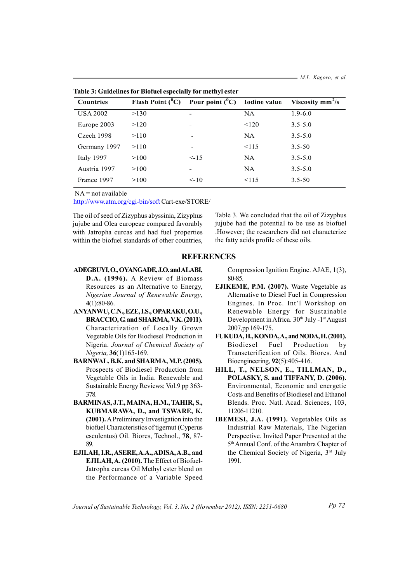**Countries** Flash Point  $(^0C)$ Pour point  $(^0C)$ **Iodine** value Viscosity  $mm^2/s$ **USA 2002**  $>130$  $\overline{NA}$  $1.9 - 6.0$ Europe 2003  $>120$  $120$  $3.5 - 5.0$ Czech 1998  $>110$  $NA$  $3.5 - 5.0$ Germany 1997  $>110$  $< 115$  $3.5 - 50$ Italy 1997  $>100$  $\leq -1.5$  $NA$  $3.5 - 5.0$ Austria 1997  $>100$  $NA$  $3.5 - 5.0$ France 1997  $>100$  $10$  $115$  $3.5 - 50$ 

Table 3: Guidelines for Biofuel especially for methyl ester

 $NA = not available$ 

http://www.atm.org/cgi-bin/soft Cart-exe/STORE/

The oil of seed of Zizyphus abyssinia, Zizyphus jujube and Olea europeae compared favorably with Jatropha curcas and had fuel properties within the biofuel standards of other countries. Table 3. We concluded that the oil of Zizyphus jujube had the potential to be use as biofuel .However; the researchers did not characterize the fatty acids profile of these oils.

#### **REFERENCES**

- ADEGBUYL O., OYANGADE, J.O. and ALABL D.A. (1996). A Review of Biomass Resources as an Alternative to Energy. Nigerian Journal of Renewable Energy,  $4(1)$  80-86
- ANYANWU, C.N., EZE, I.S., OPARAKU, O.U., BRACCIO, G. and SHARMA, V.K. (2011). Characterization of Locally Grown Vegetable Oils for Biodiesel Production in Nigeria. Journal of Chemical Society of Nigeria. 36(1)165-169.
- BARNWAL, B.K. and SHARMA, M.P. (2005). Prospects of Biodiesel Production from Vegetable Oils in India. Renewable and Sustainable Energy Reviews; Vol.9 pp 363-378
- BARMINAS, J.T., MAINA, H.M., TAHIR, S., KUBMARAWA, D., and TSWARE, K. (2001). A Preliminary Investigation into the biofuel Characteristics of tigernut (Cyperus esculentus) Oil. Biores. Technol., 78, 87-89
- EJILAH, I.R., ASERE, A.A., ADISA, A.B., and EJILAH, A. (2010). The Effect of Biofuel-Jatropha curcas Oil Methyl ester blend on the Performance of a Variable Speed

Compression Ignition Engine, AJAE, 1(3), 80-85

- EJIKEME, P.M. (2007). Waste Vegetable as Alternative to Diesel Fuel in Compression Engines. In Proc. Int'l Workshop on Renewable Energy for Sustainable Development in Africa. 30<sup>th</sup> July -1<sup>st</sup> August 2007.pp 169-175.
- FUKUDA, H., KONDA, A., and NODA, H. (2001). Biodiesel Fuel Production by Transeterification of Oils. Biores. And Bioengineering, 92(5):405-416.
- HILL, T., NELSON, E., TILLMAN, D., POLASKY, S. and TIFFANY, D. (2006). Environmental, Economic and energetic Costs and Benefits of Biodiesel and Ethanol Blends. Proc. Natl. Acad. Sciences, 103, 11206-11210.
- **IBEMESI, J.A. (1991).** Vegetables Oils as Industrial Raw Materials, The Nigerian Perspective. Invited Paper Presented at the 5<sup>th</sup> Annual Conf. of the Anambra Chapter of the Chemical Society of Nigeria. 3rd July 1991

Journal of Sustainable Technology, Vol. 3, No. 2 (November 2012), ISSN: 2251-0680